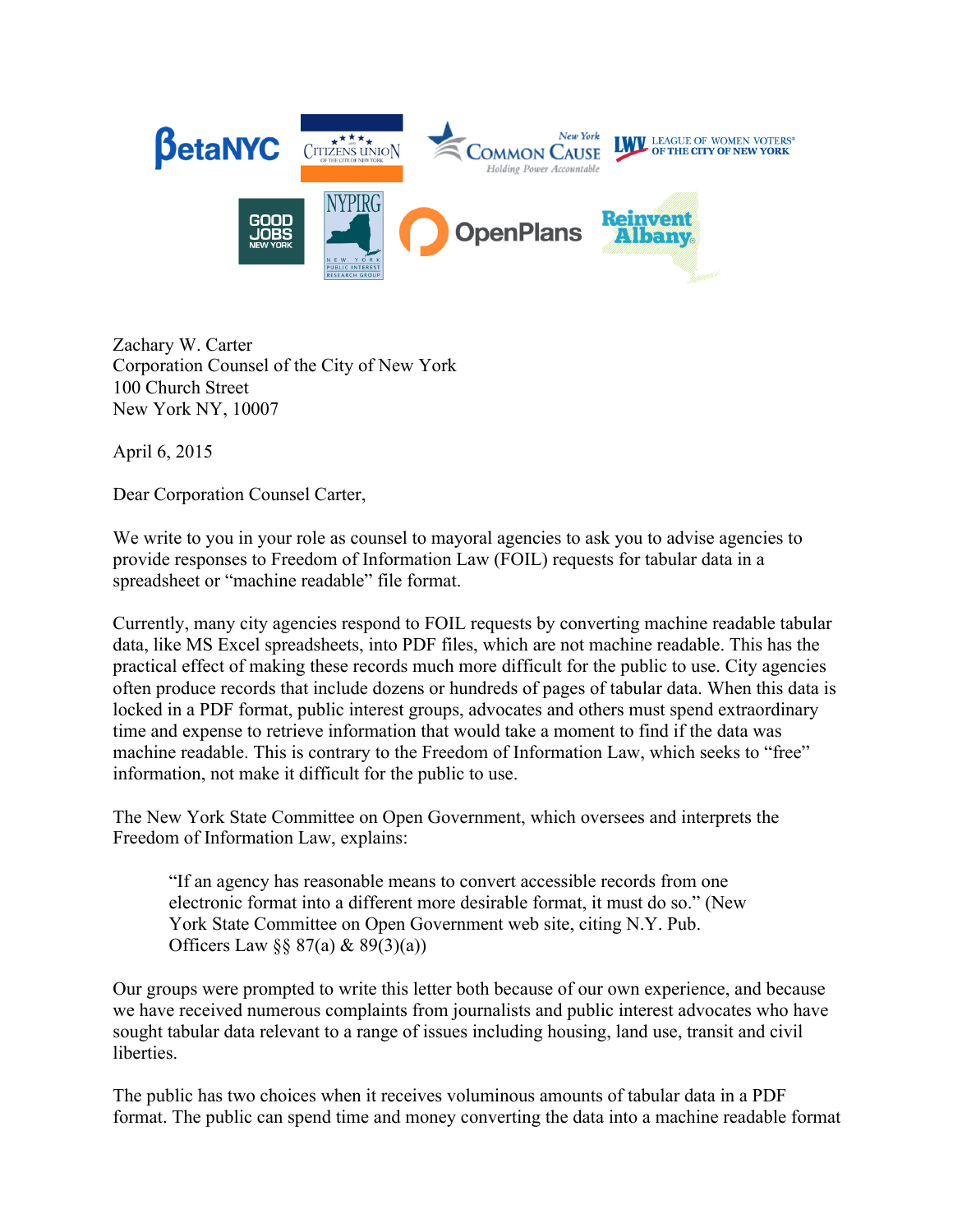

Zachary W. Carter Corporation Counsel of the City of New York 100 Church Street New York NY, 10007

April 6, 2015

Dear Corporation Counsel Carter,

We write to you in your role as counsel to mayoral agencies to ask you to advise agencies to provide responses to Freedom of Information Law (FOIL) requests for tabular data in a spreadsheet or "machine readable" file format.

Currently, many city agencies respond to FOIL requests by converting machine readable tabular data, like MS Excel spreadsheets, into PDF files, which are not machine readable. This has the practical effect of making these records much more difficult for the public to use. City agencies often produce records that include dozens or hundreds of pages of tabular data. When this data is locked in a PDF format, public interest groups, advocates and others must spend extraordinary time and expense to retrieve information that would take a moment to find if the data was machine readable. This is contrary to the Freedom of Information Law, which seeks to "free" information, not make it difficult for the public to use.

The New York State Committee on Open Government, which oversees and interprets the Freedom of Information Law, explains:

"If an agency has reasonable means to convert accessible records from one electronic format into a different more desirable format, it must do so." (New York State Committee on Open Government web site, citing N.Y. Pub. Officers Law  $\S$ § 87(a) & 89(3)(a))

Our groups were prompted to write this letter both because of our own experience, and because we have received numerous complaints from journalists and public interest advocates who have sought tabular data relevant to a range of issues including housing, land use, transit and civil liberties.

The public has two choices when it receives voluminous amounts of tabular data in a PDF format. The public can spend time and money converting the data into a machine readable format